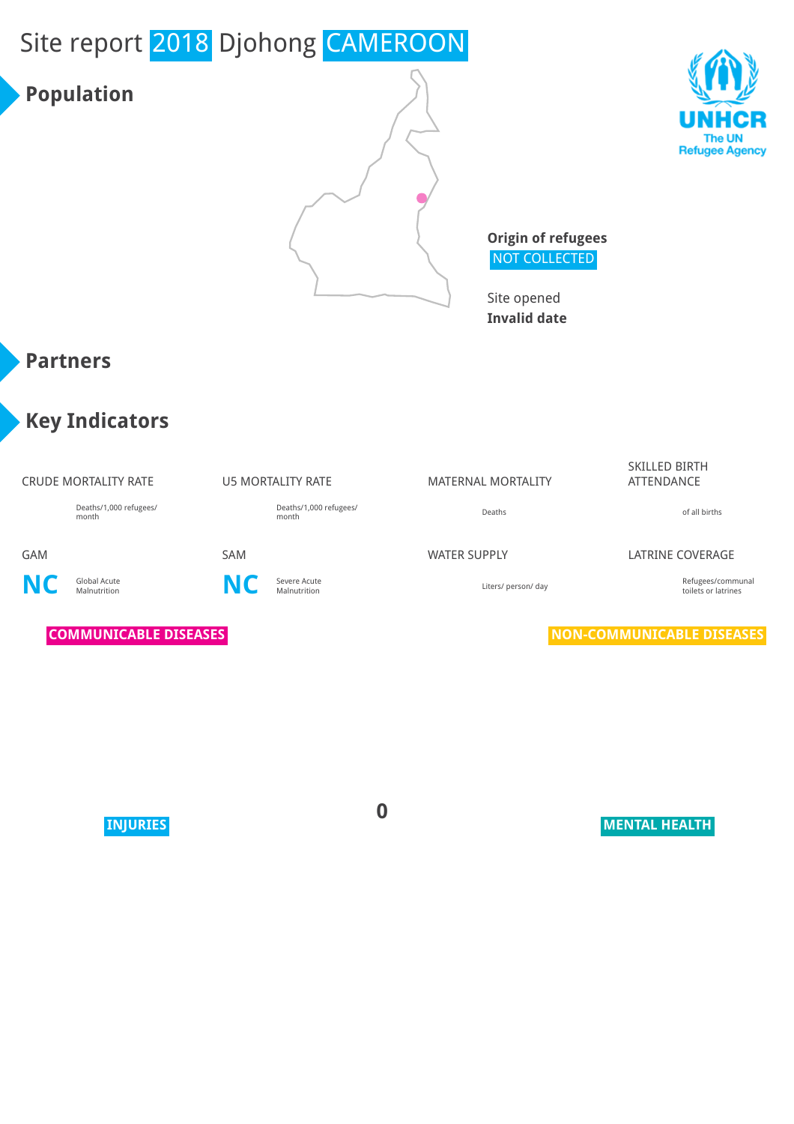# Site report 2018 Djohong CAMEROON

### **Population**





**Origin of refugees** NOT COLLECTED

Site opened **Invalid date**

### **Partners**

### **Key Indicators**

#### CRUDE MORTALITY RATE **U5 MORTALITY RATE** MATERNAL MORTALITY

Deaths/1,000 refugees/ month

Deaths/1,000 refugees/ month discussed by the control of all births of all births of all births of all births of all births of all births of all births of all births of all births of all births of all births of all births of all births of all bi

**NC** Global Acute



#### SKILLED BIRTH ATTENDANCE

#### GAM SAM SAM SAM WATER SUPPLY LATRINE COVERAGE

Severe Acute<br>Malnutrition Malnutrition Communal Communal Liters/ person/ day communal manufactures of latrines toilets or latrines

**COMMUNICABLE DISEASES NON-COMMUNICABLE DISEASES** 

**0**

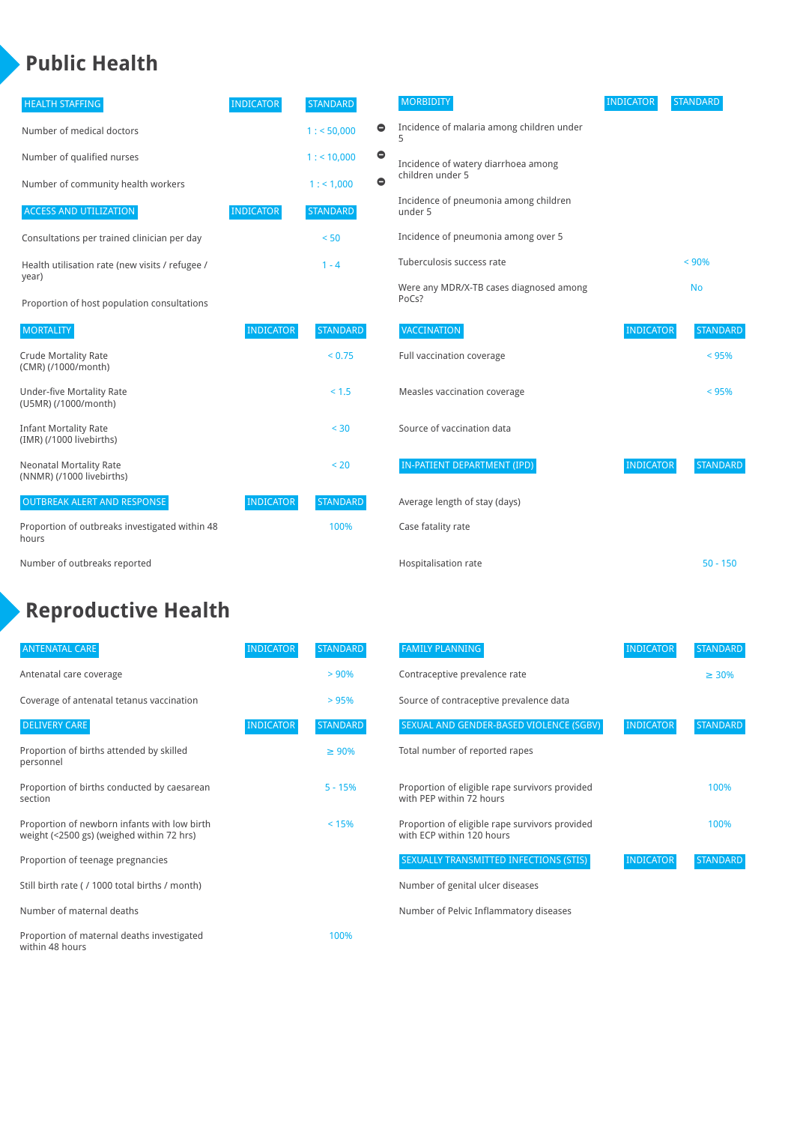### **Public Health**

| <b>HEALTH STAFFING</b>                                      | <b>INDICATOR</b> | <b>STANDARD</b> |           | <b>MORBIDITY</b>                                 | <b>INDICATOR</b> | <b>STANDARD</b> |
|-------------------------------------------------------------|------------------|-----------------|-----------|--------------------------------------------------|------------------|-----------------|
| Number of medical doctors                                   |                  | 1: 50,000       | $\bullet$ | Incidence of malaria among children under<br>5   |                  |                 |
| Number of qualified nurses                                  |                  | $1:$ < 10,000   | $\bullet$ | Incidence of watery diarrhoea among              |                  |                 |
| Number of community health workers                          |                  | 1: 1,000        | $\bullet$ | children under 5                                 |                  |                 |
| <b>ACCESS AND UTILIZATION</b>                               | <b>INDICATOR</b> | <b>STANDARD</b> |           | Incidence of pneumonia among children<br>under 5 |                  |                 |
| Consultations per trained clinician per day                 |                  | < 50            |           | Incidence of pneumonia among over 5              |                  |                 |
| Health utilisation rate (new visits / refugee /             |                  | $1 - 4$         |           | Tuberculosis success rate                        |                  | < 90%           |
| year)<br>Proportion of host population consultations        |                  |                 |           | Were any MDR/X-TB cases diagnosed among<br>PoCs? |                  | <b>No</b>       |
| <b>MORTALITY</b>                                            | <b>INDICATOR</b> | <b>STANDARD</b> |           | VACCINATION                                      | <b>INDICATOR</b> | <b>STANDARD</b> |
| <b>Crude Mortality Rate</b><br>(CMR) (/1000/month)          |                  | < 0.75          |           | Full vaccination coverage                        |                  | $< 95\%$        |
| <b>Under-five Mortality Rate</b><br>(U5MR) (/1000/month)    |                  | < 1.5           |           | Measles vaccination coverage                     |                  | $< 95\%$        |
| <b>Infant Mortality Rate</b><br>(IMR) (/1000 livebirths)    |                  | < 30            |           | Source of vaccination data                       |                  |                 |
| <b>Neonatal Mortality Rate</b><br>(NNMR) (/1000 livebirths) |                  | < 20            |           | IN-PATIENT DEPARTMENT (IPD)                      | <b>INDICATOR</b> | <b>STANDARD</b> |
| <b>OUTBREAK ALERT AND RESPONSE</b>                          | <b>INDICATOR</b> | <b>STANDARD</b> |           | Average length of stay (days)                    |                  |                 |
| Proportion of outbreaks investigated within 48              |                  | 100%            |           | Case fatality rate                               |                  |                 |

Proportion of outbreaks investigated within 48 hours

Number of outbreaks reported

### **Reproductive Health**

| <b>ANTENATAL CARE</b>                                                                     | <b>INDICATOR</b> | <b>STANDARD</b> | <b>FAMILY PLANNING</b>                                                      | <b>INDICATOR</b> | <b>STANDAR</b> |
|-------------------------------------------------------------------------------------------|------------------|-----------------|-----------------------------------------------------------------------------|------------------|----------------|
| Antenatal care coverage                                                                   |                  | > 90%           | Contraceptive prevalence rate                                               |                  | $\geq 30\%$    |
| Coverage of antenatal tetanus vaccination                                                 |                  | > 95%           | Source of contraceptive prevalence data                                     |                  |                |
| <b>DELIVERY CARE</b>                                                                      | <b>INDICATOR</b> | <b>STANDARD</b> | SEXUAL AND GENDER-BASED VIOLENCE (SGBV)                                     | <b>INDICATOR</b> | <b>STANDAR</b> |
| Proportion of births attended by skilled<br>personnel                                     |                  | $\geq 90\%$     | Total number of reported rapes                                              |                  |                |
| Proportion of births conducted by caesarean<br>section                                    |                  | $5 - 15%$       | Proportion of eligible rape survivors provided<br>with PEP within 72 hours  |                  | 100%           |
| Proportion of newborn infants with low birth<br>weight (<2500 gs) (weighed within 72 hrs) |                  | < 15%           | Proportion of eligible rape survivors provided<br>with ECP within 120 hours |                  | 100%           |
| Proportion of teenage pregnancies                                                         |                  |                 | SEXUALLY TRANSMITTED INFECTIONS (STIS)                                      | <b>INDICATOR</b> | <b>STANDAR</b> |
| Still birth rate (/ 1000 total births / month)                                            |                  |                 | Number of genital ulcer diseases                                            |                  |                |
| Number of maternal deaths                                                                 |                  |                 | Number of Pelvic Inflammatory diseases                                      |                  |                |
| Proportion of maternal deaths investigated<br>within 48 hours                             |                  | 100%            |                                                                             |                  |                |

| <b>IDARD</b>          | <b>MORBIDITY</b>                                        | <b>INDICATOR</b> | <b>STANDARD</b> |
|-----------------------|---------------------------------------------------------|------------------|-----------------|
| 0<br>50,000           | Incidence of malaria among children under<br>5          |                  |                 |
| 0<br>10,000<br>0      | Incidence of watery diarrhoea among<br>children under 5 |                  |                 |
| 1,000<br><b>IDARD</b> | Incidence of pneumonia among children<br>under 5        |                  |                 |
| 50                    | Incidence of pneumonia among over 5                     |                  |                 |
| - 4                   | Tuberculosis success rate                               |                  | < 90%           |
|                       | Were any MDR/X-TB cases diagnosed among<br>PoCs?        |                  | <b>No</b>       |
| <b>ANDARD</b>         | <b>VACCINATION</b>                                      | <b>INDICATOR</b> | <b>STANDARD</b> |
| < 0.75                | Full vaccination coverage                               |                  | $< 95\%$        |
| < 1.5                 | Measles vaccination coverage                            |                  | $< 95\%$        |
| < 30                  | Source of vaccination data                              |                  |                 |
| < 20                  | IN-PATIENT DEPARTMENT (IPD)                             | <b>INDICATOR</b> | <b>STANDARD</b> |
| ANDARD                | Average length of stay (days)                           |                  |                 |
| 100%                  | Case fatality rate                                      |                  |                 |
|                       | <b>Hospitalisation rate</b>                             |                  | $50 - 150$      |

| <b>ANTENATAL CARE</b>                                                                     | <b>INDICATOR</b> | <b>STANDARD</b> | <b>FAMILY PLANNING</b>                                                      | <b>INDICATOR</b> | <b>STANDARD</b> |
|-------------------------------------------------------------------------------------------|------------------|-----------------|-----------------------------------------------------------------------------|------------------|-----------------|
| Antenatal care coverage                                                                   |                  | $> 90\%$        | Contraceptive prevalence rate                                               |                  | $\geq 30\%$     |
| Coverage of antenatal tetanus vaccination                                                 |                  | >95%            | Source of contraceptive prevalence data                                     |                  |                 |
| <b>DELIVERY CARE</b>                                                                      | <b>INDICATOR</b> | <b>STANDARD</b> | SEXUAL AND GENDER-BASED VIOLENCE (SGBV)                                     | <b>INDICATOR</b> | <b>STANDARD</b> |
| Proportion of births attended by skilled<br>personnel                                     |                  | $\geq 90\%$     | Total number of reported rapes                                              |                  |                 |
| Proportion of births conducted by caesarean<br>section                                    |                  | $5 - 15%$       | Proportion of eligible rape survivors provided<br>with PEP within 72 hours  |                  | 100%            |
| Proportion of newborn infants with low birth<br>weight (<2500 gs) (weighed within 72 hrs) |                  | $< 15\%$        | Proportion of eligible rape survivors provided<br>with ECP within 120 hours |                  | 100%            |
| Proportion of teenage pregnancies                                                         |                  |                 | SEXUALLY TRANSMITTED INFECTIONS (STIS)                                      | <b>INDICATOR</b> | <b>STANDARD</b> |
| Still birth rate (/ 1000 total births / month)                                            |                  |                 | Number of genital ulcer diseases                                            |                  |                 |
|                                                                                           |                  |                 |                                                                             |                  |                 |